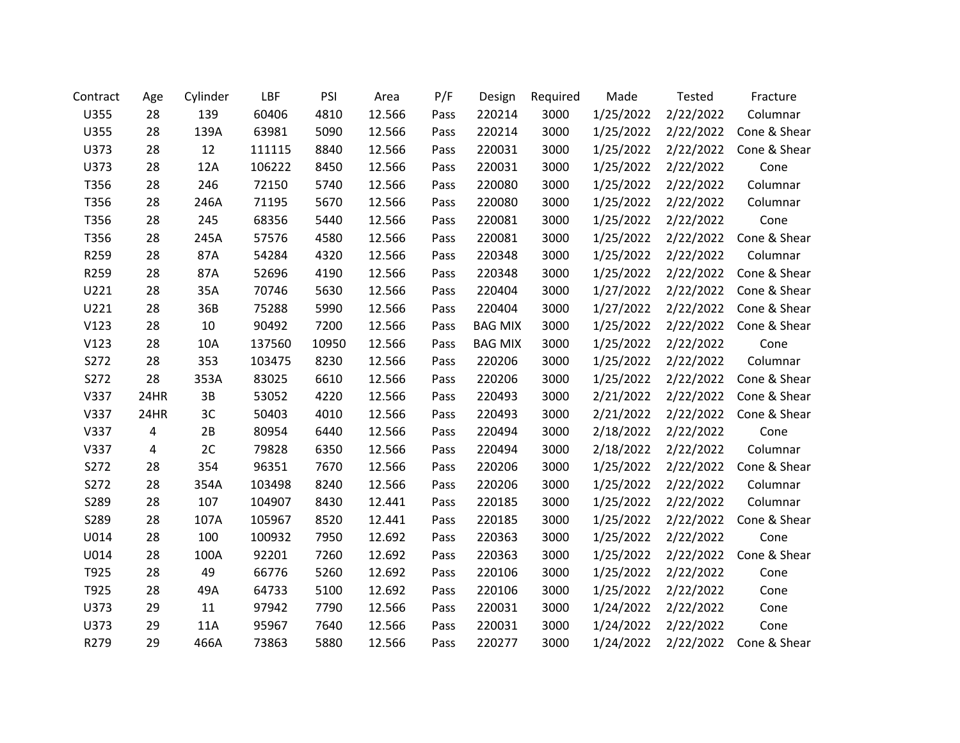| Contract | Age            | Cylinder | LBF    | PSI   | Area   | P/F  | Design         | Required | Made      | Tested    | Fracture     |
|----------|----------------|----------|--------|-------|--------|------|----------------|----------|-----------|-----------|--------------|
| U355     | 28             | 139      | 60406  | 4810  | 12.566 | Pass | 220214         | 3000     | 1/25/2022 | 2/22/2022 | Columnar     |
| U355     | 28             | 139A     | 63981  | 5090  | 12.566 | Pass | 220214         | 3000     | 1/25/2022 | 2/22/2022 | Cone & Shear |
| U373     | 28             | 12       | 111115 | 8840  | 12.566 | Pass | 220031         | 3000     | 1/25/2022 | 2/22/2022 | Cone & Shear |
| U373     | 28             | 12A      | 106222 | 8450  | 12.566 | Pass | 220031         | 3000     | 1/25/2022 | 2/22/2022 | Cone         |
| T356     | 28             | 246      | 72150  | 5740  | 12.566 | Pass | 220080         | 3000     | 1/25/2022 | 2/22/2022 | Columnar     |
| T356     | 28             | 246A     | 71195  | 5670  | 12.566 | Pass | 220080         | 3000     | 1/25/2022 | 2/22/2022 | Columnar     |
| T356     | 28             | 245      | 68356  | 5440  | 12.566 | Pass | 220081         | 3000     | 1/25/2022 | 2/22/2022 | Cone         |
| T356     | 28             | 245A     | 57576  | 4580  | 12.566 | Pass | 220081         | 3000     | 1/25/2022 | 2/22/2022 | Cone & Shear |
| R259     | 28             | 87A      | 54284  | 4320  | 12.566 | Pass | 220348         | 3000     | 1/25/2022 | 2/22/2022 | Columnar     |
| R259     | 28             | 87A      | 52696  | 4190  | 12.566 | Pass | 220348         | 3000     | 1/25/2022 | 2/22/2022 | Cone & Shear |
| U221     | 28             | 35A      | 70746  | 5630  | 12.566 | Pass | 220404         | 3000     | 1/27/2022 | 2/22/2022 | Cone & Shear |
| U221     | 28             | 36B      | 75288  | 5990  | 12.566 | Pass | 220404         | 3000     | 1/27/2022 | 2/22/2022 | Cone & Shear |
| V123     | 28             | 10       | 90492  | 7200  | 12.566 | Pass | <b>BAG MIX</b> | 3000     | 1/25/2022 | 2/22/2022 | Cone & Shear |
| V123     | 28             | 10A      | 137560 | 10950 | 12.566 | Pass | <b>BAG MIX</b> | 3000     | 1/25/2022 | 2/22/2022 | Cone         |
| S272     | 28             | 353      | 103475 | 8230  | 12.566 | Pass | 220206         | 3000     | 1/25/2022 | 2/22/2022 | Columnar     |
| S272     | 28             | 353A     | 83025  | 6610  | 12.566 | Pass | 220206         | 3000     | 1/25/2022 | 2/22/2022 | Cone & Shear |
| V337     | 24HR           | 3B       | 53052  | 4220  | 12.566 | Pass | 220493         | 3000     | 2/21/2022 | 2/22/2022 | Cone & Shear |
| V337     | 24HR           | 3C       | 50403  | 4010  | 12.566 | Pass | 220493         | 3000     | 2/21/2022 | 2/22/2022 | Cone & Shear |
| V337     | 4              | 2B       | 80954  | 6440  | 12.566 | Pass | 220494         | 3000     | 2/18/2022 | 2/22/2022 | Cone         |
| V337     | $\overline{a}$ | 2C       | 79828  | 6350  | 12.566 | Pass | 220494         | 3000     | 2/18/2022 | 2/22/2022 | Columnar     |
| S272     | 28             | 354      | 96351  | 7670  | 12.566 | Pass | 220206         | 3000     | 1/25/2022 | 2/22/2022 | Cone & Shear |
| S272     | 28             | 354A     | 103498 | 8240  | 12.566 | Pass | 220206         | 3000     | 1/25/2022 | 2/22/2022 | Columnar     |
| S289     | 28             | 107      | 104907 | 8430  | 12.441 | Pass | 220185         | 3000     | 1/25/2022 | 2/22/2022 | Columnar     |
| S289     | 28             | 107A     | 105967 | 8520  | 12.441 | Pass | 220185         | 3000     | 1/25/2022 | 2/22/2022 | Cone & Shear |
| U014     | 28             | 100      | 100932 | 7950  | 12.692 | Pass | 220363         | 3000     | 1/25/2022 | 2/22/2022 | Cone         |
| U014     | 28             | 100A     | 92201  | 7260  | 12.692 | Pass | 220363         | 3000     | 1/25/2022 | 2/22/2022 | Cone & Shear |
| T925     | 28             | 49       | 66776  | 5260  | 12.692 | Pass | 220106         | 3000     | 1/25/2022 | 2/22/2022 | Cone         |
| T925     | 28             | 49A      | 64733  | 5100  | 12.692 | Pass | 220106         | 3000     | 1/25/2022 | 2/22/2022 | Cone         |
| U373     | 29             | 11       | 97942  | 7790  | 12.566 | Pass | 220031         | 3000     | 1/24/2022 | 2/22/2022 | Cone         |
| U373     | 29             | 11A      | 95967  | 7640  | 12.566 | Pass | 220031         | 3000     | 1/24/2022 | 2/22/2022 | Cone         |
| R279     | 29             | 466A     | 73863  | 5880  | 12.566 | Pass | 220277         | 3000     | 1/24/2022 | 2/22/2022 | Cone & Shear |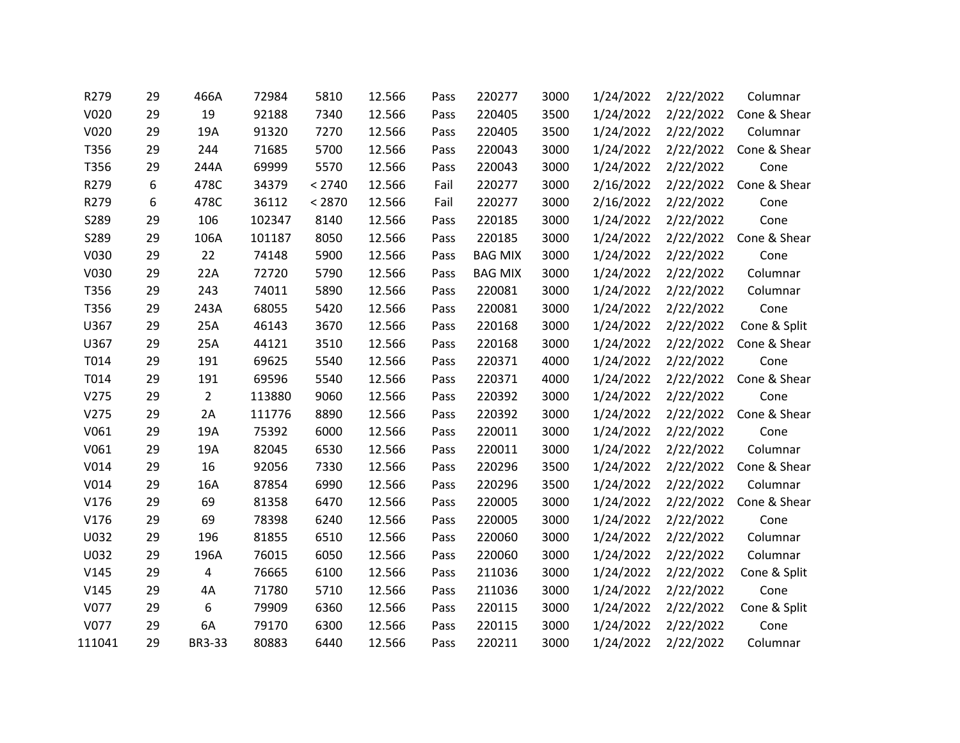| R279   | 29 | 466A          | 72984  | 5810   | 12.566 | Pass | 220277         | 3000 | 1/24/2022 | 2/22/2022 | Columnar     |
|--------|----|---------------|--------|--------|--------|------|----------------|------|-----------|-----------|--------------|
| V020   | 29 | 19            | 92188  | 7340   | 12.566 | Pass | 220405         | 3500 | 1/24/2022 | 2/22/2022 | Cone & Shear |
| V020   | 29 | 19A           | 91320  | 7270   | 12.566 | Pass | 220405         | 3500 | 1/24/2022 | 2/22/2022 | Columnar     |
| T356   | 29 | 244           | 71685  | 5700   | 12.566 | Pass | 220043         | 3000 | 1/24/2022 | 2/22/2022 | Cone & Shear |
| T356   | 29 | 244A          | 69999  | 5570   | 12.566 | Pass | 220043         | 3000 | 1/24/2022 | 2/22/2022 | Cone         |
| R279   | 6  | 478C          | 34379  | < 2740 | 12.566 | Fail | 220277         | 3000 | 2/16/2022 | 2/22/2022 | Cone & Shear |
| R279   | 6  | 478C          | 36112  | < 2870 | 12.566 | Fail | 220277         | 3000 | 2/16/2022 | 2/22/2022 | Cone         |
| S289   | 29 | 106           | 102347 | 8140   | 12.566 | Pass | 220185         | 3000 | 1/24/2022 | 2/22/2022 | Cone         |
| S289   | 29 | 106A          | 101187 | 8050   | 12.566 | Pass | 220185         | 3000 | 1/24/2022 | 2/22/2022 | Cone & Shear |
| V030   | 29 | 22            | 74148  | 5900   | 12.566 | Pass | <b>BAG MIX</b> | 3000 | 1/24/2022 | 2/22/2022 | Cone         |
| V030   | 29 | 22A           | 72720  | 5790   | 12.566 | Pass | <b>BAG MIX</b> | 3000 | 1/24/2022 | 2/22/2022 | Columnar     |
| T356   | 29 | 243           | 74011  | 5890   | 12.566 | Pass | 220081         | 3000 | 1/24/2022 | 2/22/2022 | Columnar     |
| T356   | 29 | 243A          | 68055  | 5420   | 12.566 | Pass | 220081         | 3000 | 1/24/2022 | 2/22/2022 | Cone         |
| U367   | 29 | 25A           | 46143  | 3670   | 12.566 | Pass | 220168         | 3000 | 1/24/2022 | 2/22/2022 | Cone & Split |
| U367   | 29 | 25A           | 44121  | 3510   | 12.566 | Pass | 220168         | 3000 | 1/24/2022 | 2/22/2022 | Cone & Shear |
| T014   | 29 | 191           | 69625  | 5540   | 12.566 | Pass | 220371         | 4000 | 1/24/2022 | 2/22/2022 | Cone         |
| T014   | 29 | 191           | 69596  | 5540   | 12.566 | Pass | 220371         | 4000 | 1/24/2022 | 2/22/2022 | Cone & Shear |
| V275   | 29 | $2^{\circ}$   | 113880 | 9060   | 12.566 | Pass | 220392         | 3000 | 1/24/2022 | 2/22/2022 | Cone         |
| V275   | 29 | 2A            | 111776 | 8890   | 12.566 | Pass | 220392         | 3000 | 1/24/2022 | 2/22/2022 | Cone & Shear |
| V061   | 29 | 19A           | 75392  | 6000   | 12.566 | Pass | 220011         | 3000 | 1/24/2022 | 2/22/2022 | Cone         |
| V061   | 29 | 19A           | 82045  | 6530   | 12.566 | Pass | 220011         | 3000 | 1/24/2022 | 2/22/2022 | Columnar     |
| V014   | 29 | 16            | 92056  | 7330   | 12.566 | Pass | 220296         | 3500 | 1/24/2022 | 2/22/2022 | Cone & Shear |
| V014   | 29 | 16A           | 87854  | 6990   | 12.566 | Pass | 220296         | 3500 | 1/24/2022 | 2/22/2022 | Columnar     |
| V176   | 29 | 69            | 81358  | 6470   | 12.566 | Pass | 220005         | 3000 | 1/24/2022 | 2/22/2022 | Cone & Shear |
| V176   | 29 | 69            | 78398  | 6240   | 12.566 | Pass | 220005         | 3000 | 1/24/2022 | 2/22/2022 | Cone         |
| U032   | 29 | 196           | 81855  | 6510   | 12.566 | Pass | 220060         | 3000 | 1/24/2022 | 2/22/2022 | Columnar     |
| U032   | 29 | 196A          | 76015  | 6050   | 12.566 | Pass | 220060         | 3000 | 1/24/2022 | 2/22/2022 | Columnar     |
| V145   | 29 | 4             | 76665  | 6100   | 12.566 | Pass | 211036         | 3000 | 1/24/2022 | 2/22/2022 | Cone & Split |
| V145   | 29 | 4A            | 71780  | 5710   | 12.566 | Pass | 211036         | 3000 | 1/24/2022 | 2/22/2022 | Cone         |
| V077   | 29 | 6             | 79909  | 6360   | 12.566 | Pass | 220115         | 3000 | 1/24/2022 | 2/22/2022 | Cone & Split |
| V077   | 29 | 6A            | 79170  | 6300   | 12.566 | Pass | 220115         | 3000 | 1/24/2022 | 2/22/2022 | Cone         |
| 111041 | 29 | <b>BR3-33</b> | 80883  | 6440   | 12.566 | Pass | 220211         | 3000 | 1/24/2022 | 2/22/2022 | Columnar     |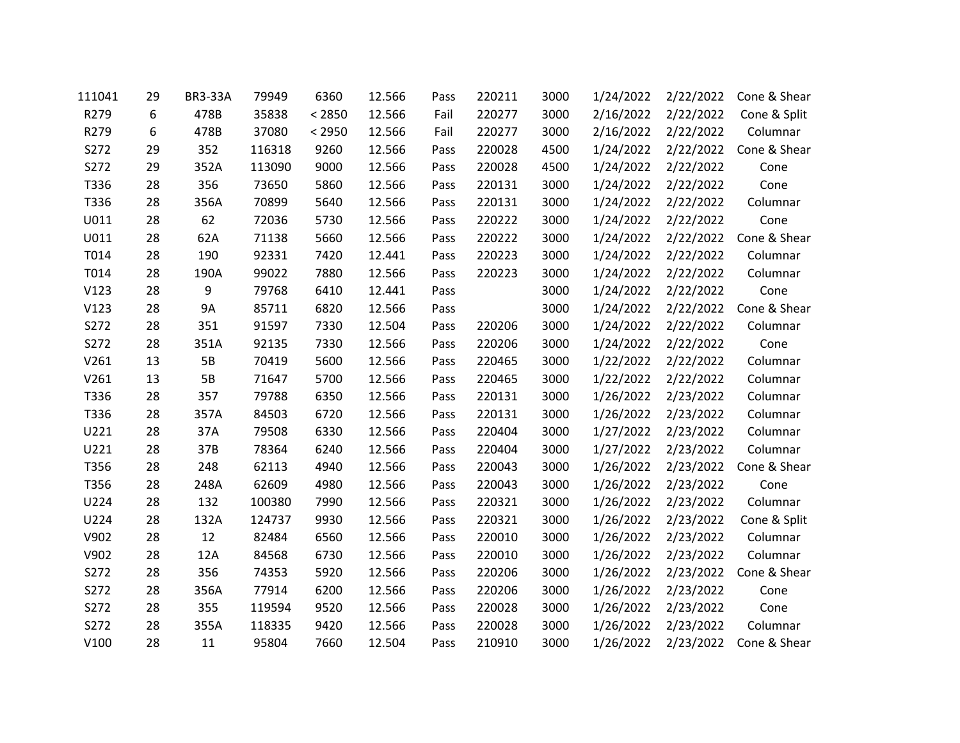| 111041 | 29 | <b>BR3-33A</b> | 79949  | 6360   | 12.566 | Pass | 220211 | 3000 | 1/24/2022 | 2/22/2022 | Cone & Shear |
|--------|----|----------------|--------|--------|--------|------|--------|------|-----------|-----------|--------------|
| R279   | 6  | 478B           | 35838  | < 2850 | 12.566 | Fail | 220277 | 3000 | 2/16/2022 | 2/22/2022 | Cone & Split |
| R279   | 6  | 478B           | 37080  | < 2950 | 12.566 | Fail | 220277 | 3000 | 2/16/2022 | 2/22/2022 | Columnar     |
| S272   | 29 | 352            | 116318 | 9260   | 12.566 | Pass | 220028 | 4500 | 1/24/2022 | 2/22/2022 | Cone & Shear |
| S272   | 29 | 352A           | 113090 | 9000   | 12.566 | Pass | 220028 | 4500 | 1/24/2022 | 2/22/2022 | Cone         |
| T336   | 28 | 356            | 73650  | 5860   | 12.566 | Pass | 220131 | 3000 | 1/24/2022 | 2/22/2022 | Cone         |
| T336   | 28 | 356A           | 70899  | 5640   | 12.566 | Pass | 220131 | 3000 | 1/24/2022 | 2/22/2022 | Columnar     |
| U011   | 28 | 62             | 72036  | 5730   | 12.566 | Pass | 220222 | 3000 | 1/24/2022 | 2/22/2022 | Cone         |
| U011   | 28 | 62A            | 71138  | 5660   | 12.566 | Pass | 220222 | 3000 | 1/24/2022 | 2/22/2022 | Cone & Shear |
| T014   | 28 | 190            | 92331  | 7420   | 12.441 | Pass | 220223 | 3000 | 1/24/2022 | 2/22/2022 | Columnar     |
| T014   | 28 | 190A           | 99022  | 7880   | 12.566 | Pass | 220223 | 3000 | 1/24/2022 | 2/22/2022 | Columnar     |
| V123   | 28 | 9              | 79768  | 6410   | 12.441 | Pass |        | 3000 | 1/24/2022 | 2/22/2022 | Cone         |
| V123   | 28 | <b>9A</b>      | 85711  | 6820   | 12.566 | Pass |        | 3000 | 1/24/2022 | 2/22/2022 | Cone & Shear |
| S272   | 28 | 351            | 91597  | 7330   | 12.504 | Pass | 220206 | 3000 | 1/24/2022 | 2/22/2022 | Columnar     |
| S272   | 28 | 351A           | 92135  | 7330   | 12.566 | Pass | 220206 | 3000 | 1/24/2022 | 2/22/2022 | Cone         |
| V261   | 13 | 5B             | 70419  | 5600   | 12.566 | Pass | 220465 | 3000 | 1/22/2022 | 2/22/2022 | Columnar     |
| V261   | 13 | <b>5B</b>      | 71647  | 5700   | 12.566 | Pass | 220465 | 3000 | 1/22/2022 | 2/22/2022 | Columnar     |
| T336   | 28 | 357            | 79788  | 6350   | 12.566 | Pass | 220131 | 3000 | 1/26/2022 | 2/23/2022 | Columnar     |
| T336   | 28 | 357A           | 84503  | 6720   | 12.566 | Pass | 220131 | 3000 | 1/26/2022 | 2/23/2022 | Columnar     |
| U221   | 28 | 37A            | 79508  | 6330   | 12.566 | Pass | 220404 | 3000 | 1/27/2022 | 2/23/2022 | Columnar     |
| U221   | 28 | 37B            | 78364  | 6240   | 12.566 | Pass | 220404 | 3000 | 1/27/2022 | 2/23/2022 | Columnar     |
| T356   | 28 | 248            | 62113  | 4940   | 12.566 | Pass | 220043 | 3000 | 1/26/2022 | 2/23/2022 | Cone & Shear |
| T356   | 28 | 248A           | 62609  | 4980   | 12.566 | Pass | 220043 | 3000 | 1/26/2022 | 2/23/2022 | Cone         |
| U224   | 28 | 132            | 100380 | 7990   | 12.566 | Pass | 220321 | 3000 | 1/26/2022 | 2/23/2022 | Columnar     |
| U224   | 28 | 132A           | 124737 | 9930   | 12.566 | Pass | 220321 | 3000 | 1/26/2022 | 2/23/2022 | Cone & Split |
| V902   | 28 | 12             | 82484  | 6560   | 12.566 | Pass | 220010 | 3000 | 1/26/2022 | 2/23/2022 | Columnar     |
| V902   | 28 | 12A            | 84568  | 6730   | 12.566 | Pass | 220010 | 3000 | 1/26/2022 | 2/23/2022 | Columnar     |
| S272   | 28 | 356            | 74353  | 5920   | 12.566 | Pass | 220206 | 3000 | 1/26/2022 | 2/23/2022 | Cone & Shear |
| S272   | 28 | 356A           | 77914  | 6200   | 12.566 | Pass | 220206 | 3000 | 1/26/2022 | 2/23/2022 | Cone         |
| S272   | 28 | 355            | 119594 | 9520   | 12.566 | Pass | 220028 | 3000 | 1/26/2022 | 2/23/2022 | Cone         |
| S272   | 28 | 355A           | 118335 | 9420   | 12.566 | Pass | 220028 | 3000 | 1/26/2022 | 2/23/2022 | Columnar     |
| V100   | 28 | 11             | 95804  | 7660   | 12.504 | Pass | 210910 | 3000 | 1/26/2022 | 2/23/2022 | Cone & Shear |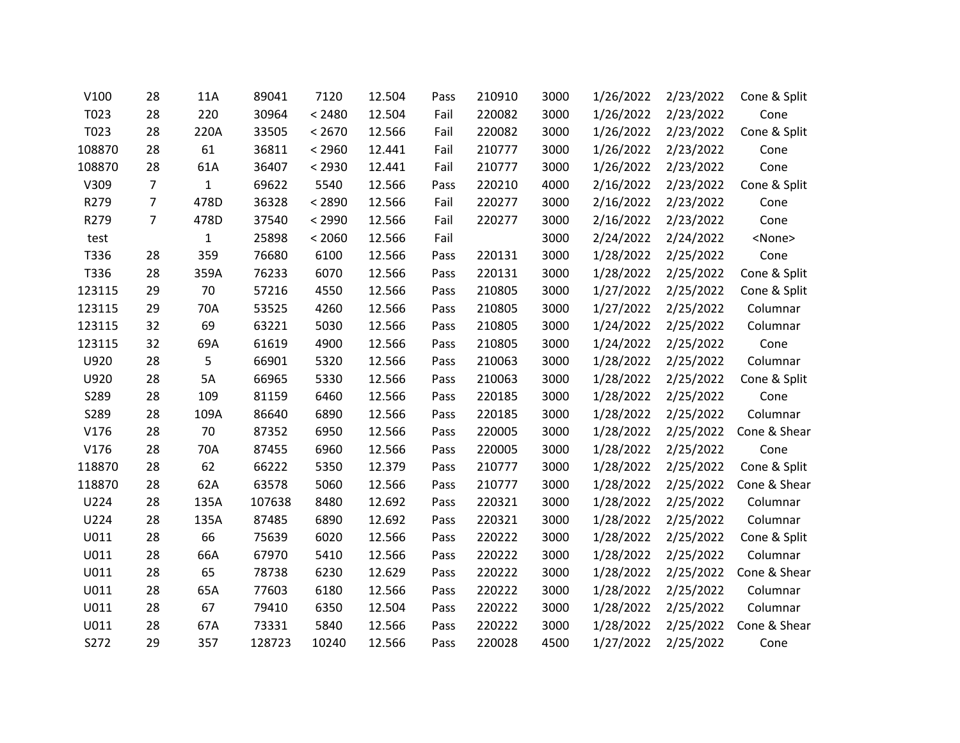| V100   | 28             | 11A          | 89041  | 7120   | 12.504 | Pass | 210910 | 3000 | 1/26/2022 | 2/23/2022 | Cone & Split  |
|--------|----------------|--------------|--------|--------|--------|------|--------|------|-----------|-----------|---------------|
| T023   | 28             | 220          | 30964  | < 2480 | 12.504 | Fail | 220082 | 3000 | 1/26/2022 | 2/23/2022 | Cone          |
| T023   | 28             | 220A         | 33505  | < 2670 | 12.566 | Fail | 220082 | 3000 | 1/26/2022 | 2/23/2022 | Cone & Split  |
| 108870 | 28             | 61           | 36811  | < 2960 | 12.441 | Fail | 210777 | 3000 | 1/26/2022 | 2/23/2022 | Cone          |
| 108870 | 28             | 61A          | 36407  | < 2930 | 12.441 | Fail | 210777 | 3000 | 1/26/2022 | 2/23/2022 | Cone          |
| V309   | $\overline{7}$ | $\mathbf{1}$ | 69622  | 5540   | 12.566 | Pass | 220210 | 4000 | 2/16/2022 | 2/23/2022 | Cone & Split  |
| R279   | $\overline{7}$ | 478D         | 36328  | < 2890 | 12.566 | Fail | 220277 | 3000 | 2/16/2022 | 2/23/2022 | Cone          |
| R279   | $\overline{7}$ | 478D         | 37540  | < 2990 | 12.566 | Fail | 220277 | 3000 | 2/16/2022 | 2/23/2022 | Cone          |
| test   |                | $\mathbf{1}$ | 25898  | < 2060 | 12.566 | Fail |        | 3000 | 2/24/2022 | 2/24/2022 | <none></none> |
| T336   | 28             | 359          | 76680  | 6100   | 12.566 | Pass | 220131 | 3000 | 1/28/2022 | 2/25/2022 | Cone          |
| T336   | 28             | 359A         | 76233  | 6070   | 12.566 | Pass | 220131 | 3000 | 1/28/2022 | 2/25/2022 | Cone & Split  |
| 123115 | 29             | 70           | 57216  | 4550   | 12.566 | Pass | 210805 | 3000 | 1/27/2022 | 2/25/2022 | Cone & Split  |
| 123115 | 29             | 70A          | 53525  | 4260   | 12.566 | Pass | 210805 | 3000 | 1/27/2022 | 2/25/2022 | Columnar      |
| 123115 | 32             | 69           | 63221  | 5030   | 12.566 | Pass | 210805 | 3000 | 1/24/2022 | 2/25/2022 | Columnar      |
| 123115 | 32             | 69A          | 61619  | 4900   | 12.566 | Pass | 210805 | 3000 | 1/24/2022 | 2/25/2022 | Cone          |
| U920   | 28             | 5            | 66901  | 5320   | 12.566 | Pass | 210063 | 3000 | 1/28/2022 | 2/25/2022 | Columnar      |
| U920   | 28             | 5A           | 66965  | 5330   | 12.566 | Pass | 210063 | 3000 | 1/28/2022 | 2/25/2022 | Cone & Split  |
| S289   | 28             | 109          | 81159  | 6460   | 12.566 | Pass | 220185 | 3000 | 1/28/2022 | 2/25/2022 | Cone          |
| S289   | 28             | 109A         | 86640  | 6890   | 12.566 | Pass | 220185 | 3000 | 1/28/2022 | 2/25/2022 | Columnar      |
| V176   | 28             | 70           | 87352  | 6950   | 12.566 | Pass | 220005 | 3000 | 1/28/2022 | 2/25/2022 | Cone & Shear  |
| V176   | 28             | 70A          | 87455  | 6960   | 12.566 | Pass | 220005 | 3000 | 1/28/2022 | 2/25/2022 | Cone          |
| 118870 | 28             | 62           | 66222  | 5350   | 12.379 | Pass | 210777 | 3000 | 1/28/2022 | 2/25/2022 | Cone & Split  |
| 118870 | 28             | 62A          | 63578  | 5060   | 12.566 | Pass | 210777 | 3000 | 1/28/2022 | 2/25/2022 | Cone & Shear  |
| U224   | 28             | 135A         | 107638 | 8480   | 12.692 | Pass | 220321 | 3000 | 1/28/2022 | 2/25/2022 | Columnar      |
| U224   | 28             | 135A         | 87485  | 6890   | 12.692 | Pass | 220321 | 3000 | 1/28/2022 | 2/25/2022 | Columnar      |
| U011   | 28             | 66           | 75639  | 6020   | 12.566 | Pass | 220222 | 3000 | 1/28/2022 | 2/25/2022 | Cone & Split  |
| U011   | 28             | 66A          | 67970  | 5410   | 12.566 | Pass | 220222 | 3000 | 1/28/2022 | 2/25/2022 | Columnar      |
| U011   | 28             | 65           | 78738  | 6230   | 12.629 | Pass | 220222 | 3000 | 1/28/2022 | 2/25/2022 | Cone & Shear  |
| U011   | 28             | 65A          | 77603  | 6180   | 12.566 | Pass | 220222 | 3000 | 1/28/2022 | 2/25/2022 | Columnar      |
| U011   | 28             | 67           | 79410  | 6350   | 12.504 | Pass | 220222 | 3000 | 1/28/2022 | 2/25/2022 | Columnar      |
| U011   | 28             | 67A          | 73331  | 5840   | 12.566 | Pass | 220222 | 3000 | 1/28/2022 | 2/25/2022 | Cone & Shear  |
| S272   | 29             | 357          | 128723 | 10240  | 12.566 | Pass | 220028 | 4500 | 1/27/2022 | 2/25/2022 | Cone          |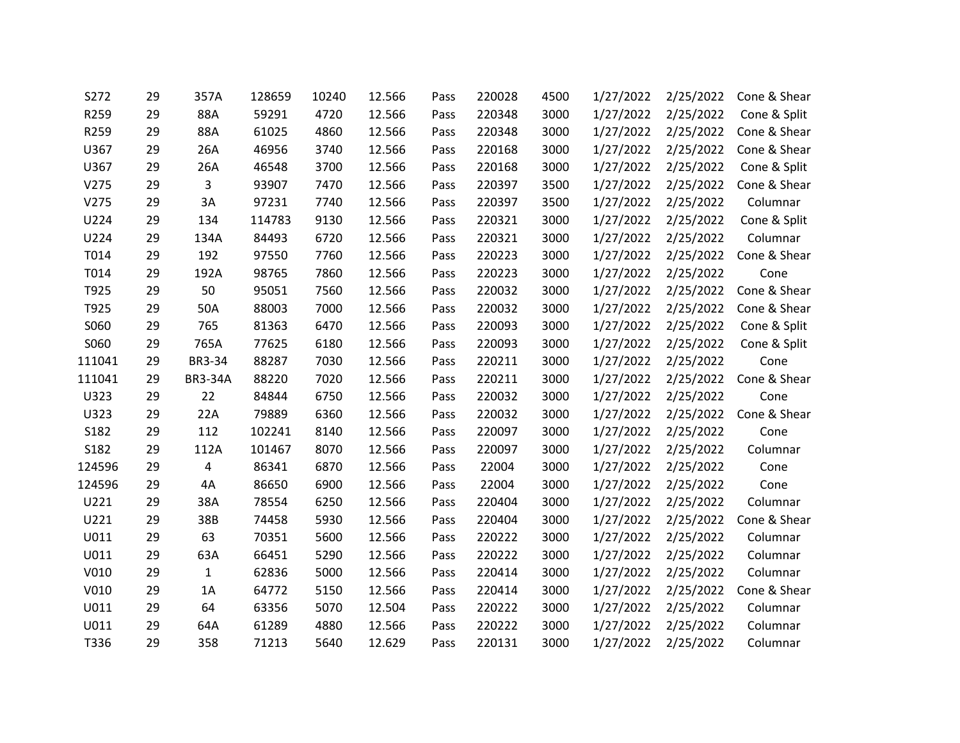| S272   | 29 | 357A           | 128659 | 10240 | 12.566 | Pass | 220028 | 4500 | 1/27/2022 | 2/25/2022 | Cone & Shear |
|--------|----|----------------|--------|-------|--------|------|--------|------|-----------|-----------|--------------|
| R259   | 29 | 88A            | 59291  | 4720  | 12.566 | Pass | 220348 | 3000 | 1/27/2022 | 2/25/2022 | Cone & Split |
| R259   | 29 | 88A            | 61025  | 4860  | 12.566 | Pass | 220348 | 3000 | 1/27/2022 | 2/25/2022 | Cone & Shear |
| U367   | 29 | 26A            | 46956  | 3740  | 12.566 | Pass | 220168 | 3000 | 1/27/2022 | 2/25/2022 | Cone & Shear |
| U367   | 29 | 26A            | 46548  | 3700  | 12.566 | Pass | 220168 | 3000 | 1/27/2022 | 2/25/2022 | Cone & Split |
| V275   | 29 | 3              | 93907  | 7470  | 12.566 | Pass | 220397 | 3500 | 1/27/2022 | 2/25/2022 | Cone & Shear |
| V275   | 29 | 3A             | 97231  | 7740  | 12.566 | Pass | 220397 | 3500 | 1/27/2022 | 2/25/2022 | Columnar     |
| U224   | 29 | 134            | 114783 | 9130  | 12.566 | Pass | 220321 | 3000 | 1/27/2022 | 2/25/2022 | Cone & Split |
| U224   | 29 | 134A           | 84493  | 6720  | 12.566 | Pass | 220321 | 3000 | 1/27/2022 | 2/25/2022 | Columnar     |
| T014   | 29 | 192            | 97550  | 7760  | 12.566 | Pass | 220223 | 3000 | 1/27/2022 | 2/25/2022 | Cone & Shear |
| T014   | 29 | 192A           | 98765  | 7860  | 12.566 | Pass | 220223 | 3000 | 1/27/2022 | 2/25/2022 | Cone         |
| T925   | 29 | 50             | 95051  | 7560  | 12.566 | Pass | 220032 | 3000 | 1/27/2022 | 2/25/2022 | Cone & Shear |
| T925   | 29 | 50A            | 88003  | 7000  | 12.566 | Pass | 220032 | 3000 | 1/27/2022 | 2/25/2022 | Cone & Shear |
| S060   | 29 | 765            | 81363  | 6470  | 12.566 | Pass | 220093 | 3000 | 1/27/2022 | 2/25/2022 | Cone & Split |
| S060   | 29 | 765A           | 77625  | 6180  | 12.566 | Pass | 220093 | 3000 | 1/27/2022 | 2/25/2022 | Cone & Split |
| 111041 | 29 | BR3-34         | 88287  | 7030  | 12.566 | Pass | 220211 | 3000 | 1/27/2022 | 2/25/2022 | Cone         |
| 111041 | 29 | <b>BR3-34A</b> | 88220  | 7020  | 12.566 | Pass | 220211 | 3000 | 1/27/2022 | 2/25/2022 | Cone & Shear |
| U323   | 29 | 22             | 84844  | 6750  | 12.566 | Pass | 220032 | 3000 | 1/27/2022 | 2/25/2022 | Cone         |
| U323   | 29 | 22A            | 79889  | 6360  | 12.566 | Pass | 220032 | 3000 | 1/27/2022 | 2/25/2022 | Cone & Shear |
| S182   | 29 | 112            | 102241 | 8140  | 12.566 | Pass | 220097 | 3000 | 1/27/2022 | 2/25/2022 | Cone         |
| S182   | 29 | 112A           | 101467 | 8070  | 12.566 | Pass | 220097 | 3000 | 1/27/2022 | 2/25/2022 | Columnar     |
| 124596 | 29 | 4              | 86341  | 6870  | 12.566 | Pass | 22004  | 3000 | 1/27/2022 | 2/25/2022 | Cone         |
| 124596 | 29 | 4A             | 86650  | 6900  | 12.566 | Pass | 22004  | 3000 | 1/27/2022 | 2/25/2022 | Cone         |
| U221   | 29 | 38A            | 78554  | 6250  | 12.566 | Pass | 220404 | 3000 | 1/27/2022 | 2/25/2022 | Columnar     |
| U221   | 29 | 38B            | 74458  | 5930  | 12.566 | Pass | 220404 | 3000 | 1/27/2022 | 2/25/2022 | Cone & Shear |
| U011   | 29 | 63             | 70351  | 5600  | 12.566 | Pass | 220222 | 3000 | 1/27/2022 | 2/25/2022 | Columnar     |
| U011   | 29 | 63A            | 66451  | 5290  | 12.566 | Pass | 220222 | 3000 | 1/27/2022 | 2/25/2022 | Columnar     |
| V010   | 29 | $\mathbf{1}$   | 62836  | 5000  | 12.566 | Pass | 220414 | 3000 | 1/27/2022 | 2/25/2022 | Columnar     |
| V010   | 29 | 1A             | 64772  | 5150  | 12.566 | Pass | 220414 | 3000 | 1/27/2022 | 2/25/2022 | Cone & Shear |
| U011   | 29 | 64             | 63356  | 5070  | 12.504 | Pass | 220222 | 3000 | 1/27/2022 | 2/25/2022 | Columnar     |
| U011   | 29 | 64A            | 61289  | 4880  | 12.566 | Pass | 220222 | 3000 | 1/27/2022 | 2/25/2022 | Columnar     |
| T336   | 29 | 358            | 71213  | 5640  | 12.629 | Pass | 220131 | 3000 | 1/27/2022 | 2/25/2022 | Columnar     |